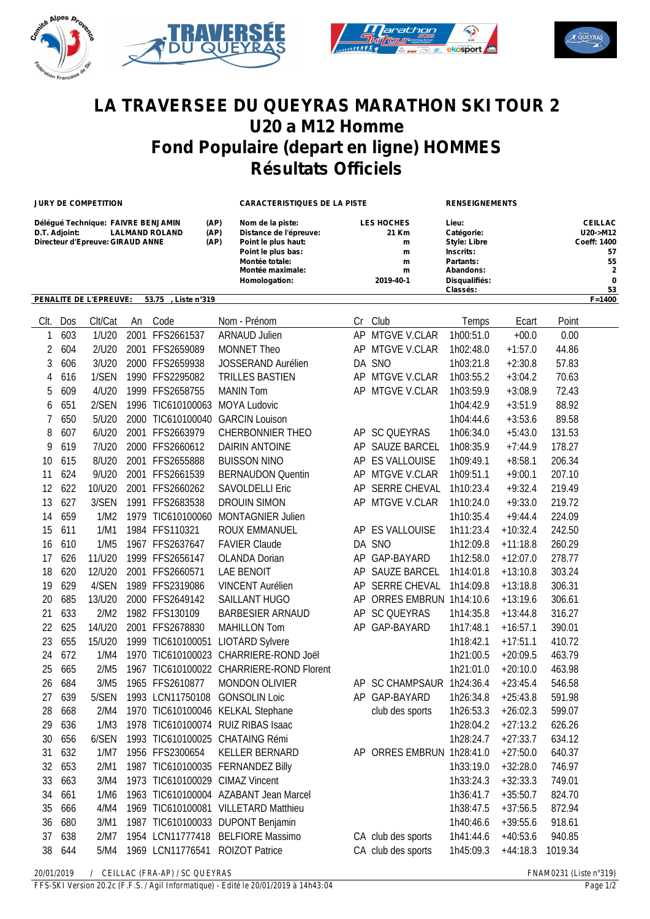





## **LA TRAVERSEE DU QUEYRAS MARATHON SKI TOUR 2 U20 a M12 Homme Fond Populaire (depart en ligne) HOMMES Résultats Officiels**

**JURY DE COMPETITION CARACTERISTIQUES DE LA PISTE RENSEIGNEMENTS**

| Délégué Technique: FAIVRE BENJAMIN     | (AP)           | Nom de la piste:       | <b>LES HOCHES</b> | Lieu:               | <b>CEILLAC</b>     |
|----------------------------------------|----------------|------------------------|-------------------|---------------------|--------------------|
| <b>LALMAND ROLAND</b><br>D.T. Adioint: | (AP)           | Distance de l'épreuve: | 21 Km             | Catégorie:          | $U20->M12$         |
| Directeur d'Epreuve: GIRAUD ANNE       | (AP)           | Point le plus haut:    | m                 | <b>Style: Libre</b> | <b>Coeff: 1400</b> |
|                                        |                | Point le plus bas:     | m                 | Inscrits:           | 57                 |
|                                        |                | Montée totale:         | m                 | Partants:           | 55                 |
|                                        |                | Montée maximale:       | m                 | Abandons:           | 2                  |
|                                        |                | Homologation:          | 2019-40-1         | Disqualifiés:       | 0                  |
|                                        |                |                        |                   | Classés:            | 53                 |
| <b>PENALITE DE L'EPREUVE:</b><br>53.75 | Liste n°319. . |                        |                   |                     | $F = 1400$         |

| Clt.           | Dos                                           | Clt/Cat | An | Code                           | Nom - Prénom                             | Cr | Club                      | Temps                       | Ecart      | Point   |
|----------------|-----------------------------------------------|---------|----|--------------------------------|------------------------------------------|----|---------------------------|-----------------------------|------------|---------|
| 1              | 603                                           | 1/U20   |    | 2001 FFS2661537                | <b>ARNAUD Julien</b>                     |    | AP MTGVE V.CLAR           | 1h00:51.0                   | $+00.0$    | 0.00    |
| $\overline{2}$ | 604                                           | 2/U20   |    | 2001 FFS2659089                | <b>MONNET Theo</b>                       | AP | MTGVE V.CLAR              | 1h02:48.0                   | $+1:57.0$  | 44.86   |
| 3              | 606                                           | 3/U20   |    | 2000 FFS2659938                | JOSSERAND Aurélien                       |    | DA SNO                    | 1h03:21.8                   | $+2:30.8$  | 57.83   |
| 4              | 616                                           | 1/SEN   |    | 1990 FFS2295082                | <b>TRILLES BASTIEN</b>                   |    | AP MTGVE V.CLAR           | 1h03:55.2                   | $+3:04.2$  | 70.63   |
| 5              | 609                                           | 4/U20   |    | 1999 FFS2658755                | <b>MANIN Tom</b>                         | AP | MTGVE V.CLAR              | 1h03:59.9                   | $+3:08.9$  | 72.43   |
| 6              | 651                                           | 2/SEN   |    | 1996 TIC610100063 MOYA Ludovic |                                          |    |                           | 1h04:42.9                   | $+3:51.9$  | 88.92   |
| 7              | 650                                           | 5/U20   |    | 2000 TIC610100040              | <b>GARCIN Louison</b>                    |    |                           | 1h04:44.6                   | $+3:53.6$  | 89.58   |
| 8              | 607                                           | 6/U20   |    | 2001 FFS2663979                | <b>CHERBONNIER THEO</b>                  |    | AP SC QUEYRAS             | 1h06:34.0                   | $+5:43.0$  | 131.53  |
| 9              | 619                                           | 7/U20   |    | 2000 FFS2660612                | <b>DAIRIN ANTOINE</b>                    |    | AP SAUZE BARCEL           | 1h08:35.9                   | $+7:44.9$  | 178.27  |
| 10             | 615                                           | 8/U20   |    | 2001 FFS2655888                | <b>BUISSON NINO</b>                      |    | AP ES VALLOUISE           | 1h09:49.1                   | $+8:58.1$  | 206.34  |
| 11             | 624                                           | 9/U20   |    | 2001 FFS2661539                | <b>BERNAUDON Quentin</b>                 |    | AP MTGVE V.CLAR           | 1h09:51.1                   | $+9:00.1$  | 207.10  |
| 12             | 622                                           | 10/U20  |    | 2001 FFS2660262                | <b>SAVOLDELLI Eric</b>                   | AP | SERRE CHEVAL              | 1h10:23.4                   | $+9:32.4$  | 219.49  |
| 13             | 627                                           | 3/SEN   |    | 1991 FFS2683538                | <b>DROUIN SIMON</b>                      |    | AP MTGVE V.CLAR           | 1h10:24.0                   | $+9:33.0$  | 219.72  |
| 14             | 659                                           | 1/M2    |    | 1979 TIC610100060              | MONTAGNIER Julien                        |    |                           | 1h10:35.4                   | $+9:44.4$  | 224.09  |
| 15             | 611                                           | 1/M1    |    | 1984 FFS110321                 | ROUX EMMANUEL                            |    | AP ES VALLOUISE           | 1h11:23.4                   | $+10:32.4$ | 242.50  |
| 16             | 610                                           | 1/M5    |    | 1967 FFS2637647                | <b>FAVIER Claude</b>                     |    | DA SNO                    | 1h12:09.8                   | $+11:18.8$ | 260.29  |
| 17             | 626                                           | 11/U20  |    | 1999 FFS2656147                | <b>OLANDA Dorian</b>                     |    | AP GAP-BAYARD             | 1h12:58.0                   | $+12:07.0$ | 278.77  |
| 18             | 620                                           | 12/U20  |    | 2001 FFS2660571                | <b>LAE BENOIT</b>                        |    | AP SAUZE BARCEL           | 1h14:01.8                   | $+13:10.8$ | 303.24  |
| 19             | 629                                           | 4/SEN   |    | 1989 FFS2319086                | <b>VINCENT Aurélien</b>                  |    | AP SERRE CHEVAL           | 1h14:09.8                   | $+13:18.8$ | 306.31  |
| 20             | 685                                           | 13/U20  |    | 2000 FFS2649142                | SAILLANT HUGO                            | AP | ORRES EMBRUN 1h14:10.6    |                             | $+13:19.6$ | 306.61  |
| 21             | 633                                           | 2/M2    |    | 1982 FFS130109                 | <b>BARBESIER ARNAUD</b>                  | AP | <b>SC QUEYRAS</b>         | 1h14:35.8                   | $+13:44.8$ | 316.27  |
| 22             | 625                                           | 14/U20  |    | 2001 FFS2678830                | <b>MAHILLON Tom</b>                      | AP | GAP-BAYARD                | 1h17:48.1                   | $+16:57.1$ | 390.01  |
| 23             | 655                                           | 15/U20  |    |                                | 1999 TIC610100051 LIOTARD Sylvere        |    |                           | 1h18:42.1                   | $+17:51.1$ | 410.72  |
| 24             | 672                                           | 1/M4    |    |                                | 1970 TIC610100023 CHARRIERE-ROND Joël    |    |                           | 1h21:00.5                   | $+20:09.5$ | 463.79  |
| 25             | 665                                           | 2/M5    |    |                                | 1967 TIC610100022 CHARRIERE-ROND Florent |    |                           | 1h21:01.0                   | $+20:10.0$ | 463.98  |
| 26             | 684                                           | 3/M5    |    | 1965 FFS2610877                | <b>MONDON OLIVIER</b>                    |    | AP SC CHAMPSAUR 1h24:36.4 |                             | $+23:45.4$ | 546.58  |
| 27             | 639                                           | 5/SEN   |    | 1993 LCN11750108               | <b>GONSOLIN Loic</b>                     |    | AP GAP-BAYARD             | 1h26:34.8                   | $+25:43.8$ | 591.98  |
| 28             | 668                                           | 2/M4    |    |                                | 1970 TIC610100046 KELKAL Stephane        |    | club des sports           | 1h26:53.3                   | $+26:02.3$ | 599.07  |
| 29             | 636                                           | 1/M3    |    |                                | 1978 TIC610100074 RUIZ RIBAS Isaac       |    |                           | 1h28:04.2                   | $+27:13.2$ | 626.26  |
| 30             | 656                                           | 6/SEN   |    |                                | 1993 TIC610100025 CHATAING Rémi          |    |                           | 1h28:24.7                   | $+27:33.7$ | 634.12  |
| 31             | 632                                           | 1/M7    |    | 1956 FFS2300654                | KELLER BERNARD                           | AP | ORRES EMBRUN 1h28:41.0    |                             | $+27:50.0$ | 640.37  |
| 32             | 653                                           | 2/M1    |    |                                | 1987 TIC610100035 FERNANDEZ Billy        |    |                           | 1h33:19.0                   | $+32:28.0$ | 746.97  |
| 33             | 663                                           | 3/M4    |    |                                | 1973 TIC610100029 CIMAZ Vincent          |    |                           | 1h33:24.3                   | $+32:33.3$ | 749.01  |
| 34             | 661                                           | 1/M6    |    |                                | 1963 TIC610100004 AZABANT Jean Marcel    |    |                           | 1h36:41.7                   | $+35:50.7$ | 824.70  |
| 35             | 666                                           | 4/M4    |    |                                | 1969 TIC610100081 VILLETARD Matthieu     |    |                           | 1h38:47.5                   | $+37:56.5$ | 872.94  |
| 36             | 680                                           | 3/M1    |    |                                | 1987 TIC610100033 DUPONT Benjamin        |    |                           | 1h40:46.6                   | $+39:55.6$ | 918.61  |
| 37             | 638                                           | 2/M7    |    |                                | 1954 LCN11777418 BELFIORE Massimo        |    | CA club des sports        | 1h41:44.6                   | $+40:53.6$ | 940.85  |
| 38             | 644                                           | 5/M4    |    |                                | 1969 LCN11776541 ROIZOT Patrice          |    | CA club des sports        | 1h45:09.3                   | $+44:18.3$ | 1019.34 |
|                | 20/01/2019<br>/ CEILLAC (FRA-AP) / SC QUEYRAS |         |    |                                |                                          |    |                           | $FNAM0231$ (Liste $n°319$ ) |            |         |

*FFS-SKI Version 20.2c (F.F.S. / Agil Informatique) - Edité le 20/01/2019 à 14h43:04 Page 1/2*